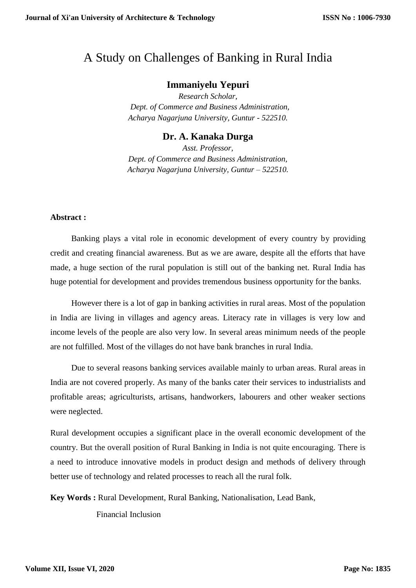# A Study on Challenges of Banking in Rural India

## **Immaniyelu Yepuri**

*Research Scholar, Dept. of Commerce and Business Administration, Acharya Nagarjuna University, Guntur - 522510.*

### **Dr. A. Kanaka Durga**

*Asst. Professor, Dept. of Commerce and Business Administration, Acharya Nagarjuna University, Guntur – 522510.*

#### **Abstract :**

 Banking plays a vital role in economic development of every country by providing credit and creating financial awareness. But as we are aware, despite all the efforts that have made, a huge section of the rural population is still out of the banking net. Rural India has huge potential for development and provides tremendous business opportunity for the banks.

 However there is a lot of gap in banking activities in rural areas. Most of the population in India are living in villages and agency areas. Literacy rate in villages is very low and income levels of the people are also very low. In several areas minimum needs of the people are not fulfilled. Most of the villages do not have bank branches in rural India.

 Due to several reasons banking services available mainly to urban areas. Rural areas in India are not covered properly. As many of the banks cater their services to industrialists and profitable areas; agriculturists, artisans, handworkers, labourers and other weaker sections were neglected.

Rural development occupies a significant place in the overall economic development of the country. But the overall position of Rural Banking in India is not quite encouraging. There is a need to introduce innovative models in product design and methods of delivery through better use of technology and related processes to reach all the rural folk.

**Key Words :** Rural Development, Rural Banking, Nationalisation, Lead Bank,

Financial Inclusion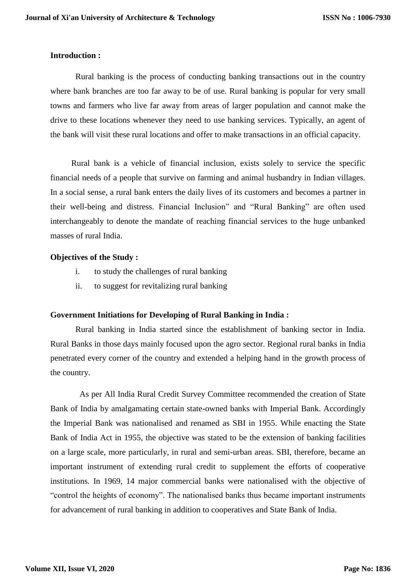#### **Introduction :**

 Rural banking is the process of conducting banking transactions out in the country where bank branches are too far away to be of use. Rural banking is popular for very small towns and farmers who live far away from areas of larger population and cannot make the drive to these locations whenever they need to use banking services. Typically, an agent of the bank will visit these rural locations and offer to make transactions in an official capacity.

 Rural bank is a vehicle of financial inclusion, exists solely to service the specific financial needs of a people that survive on farming and animal husbandry in Indian villages. In a social sense, a rural bank enters the daily lives of its customers and becomes a partner in their well-being and distress. Financial Inclusion" and "Rural Banking" are often used interchangeably to denote the mandate of reaching financial services to the huge unbanked masses of rural India.

#### **Objectives of the Study :**

- i. to study the challenges of rural banking
- ii. to suggest for revitalizing rural banking

#### **Government Initiations for Developing of Rural Banking in India :**

 Rural banking in India started since the establishment of banking sector in India. Rural Banks in those days mainly focused upon the agro sector. Regional rural banks in India penetrated every corner of the country and extended a helping hand in the growth process of the country.

 As per All India Rural Credit Survey Committee recommended the creation of State Bank of India by amalgamating certain state-owned banks with Imperial Bank. Accordingly the Imperial Bank was nationalised and renamed as SBI in 1955. While enacting the State Bank of India Act in 1955, the objective was stated to be the extension of banking facilities on a large scale, more particularly, in rural and semi-urban areas. SBI, therefore, became an important instrument of extending rural credit to supplement the efforts of cooperative institutions. In 1969, 14 major commercial banks were nationalised with the objective of "control the heights of economy". The nationalised banks thus became important instruments for advancement of rural banking in addition to cooperatives and State Bank of India.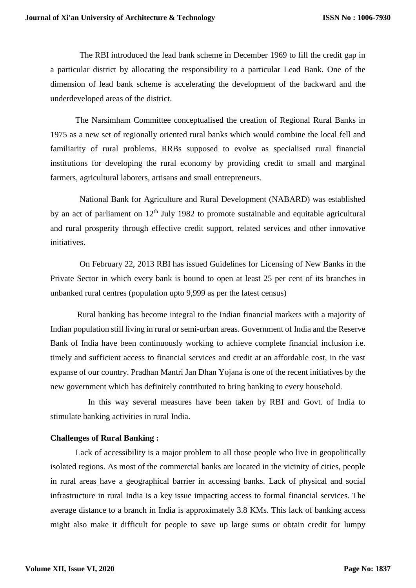The RBI introduced the lead bank scheme in December 1969 to fill the credit gap in a particular district by allocating the responsibility to a particular Lead Bank. One of the dimension of lead bank scheme is accelerating the development of the backward and the underdeveloped areas of the district.

 The Narsimham Committee conceptualised the creation of Regional Rural Banks in 1975 as a new set of regionally oriented rural banks which would combine the local fell and familiarity of rural problems. RRBs supposed to evolve as specialised rural financial institutions for developing the rural economy by providing credit to small and marginal farmers, agricultural laborers, artisans and small entrepreneurs.

 National Bank for Agriculture and Rural Development (NABARD) was established by an act of parliament on  $12<sup>th</sup>$  July 1982 to promote sustainable and equitable agricultural and rural prosperity through effective credit support, related services and other innovative initiatives.

 On February 22, 2013 RBI has issued Guidelines for Licensing of New Banks in the Private Sector in which every bank is bound to open at least 25 per cent of its branches in unbanked rural centres (population upto 9,999 as per the latest census)

 Rural banking has become integral to the Indian financial markets with a majority of Indian population still living in rural or semi-urban areas. Government of India and the Reserve Bank of India have been continuously working to achieve complete financial inclusion i.e. timely and sufficient access to financial services and credit at an affordable cost, in the vast expanse of our country. Pradhan Mantri Jan Dhan Yojana is one of the recent initiatives by the new government which has definitely contributed to bring banking to every household.

 In this way several measures have been taken by RBI and Govt. of India to stimulate banking activities in rural India.

#### **Challenges of Rural Banking :**

Lack of accessibility is a major problem to all those people who live in geopolitically isolated regions. As most of the commercial banks are located in the vicinity of cities, people in rural areas have a geographical barrier in accessing banks. Lack of physical and social infrastructure in rural India is a key issue impacting access to formal financial services. The average distance to a branch in India is approximately 3.8 KMs. This lack of banking access might also make it difficult for people to save up large sums or obtain credit for lumpy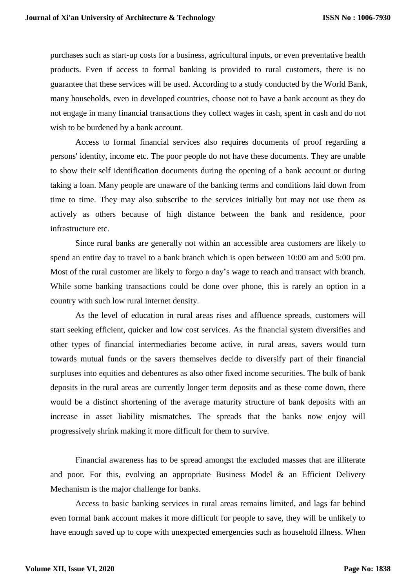purchases such as start-up costs for a business, agricultural inputs, or even preventative health products. Even if access to formal banking is provided to rural customers, there is no guarantee that these services will be used. According to a study conducted by the World Bank, many households, even in developed countries, choose not to have a bank account as they do not engage in many financial transactions they collect wages in cash, spent in cash and do not wish to be burdened by a bank account.

 Access to formal financial services also requires documents of proof regarding a persons' identity, income etc. The poor people do not have these documents. They are unable to show their self identification documents during the opening of a bank account or during taking a loan. Many people are unaware of the banking terms and conditions laid down from time to time. They may also subscribe to the services initially but may not use them as actively as others because of high distance between the bank and residence, poor infrastructure etc.

 Since rural banks are generally not within an accessible area customers are likely to spend an entire day to travel to a bank branch which is open between 10:00 am and 5:00 pm. Most of the rural customer are likely to forgo a day's wage to reach and transact with branch. While some banking transactions could be done over phone, this is rarely an option in a country with such low rural internet density.

 As the level of education in rural areas rises and affluence spreads, customers will start seeking efficient, quicker and low cost services. As the financial system diversifies and other types of financial intermediaries become active, in rural areas, savers would turn towards mutual funds or the savers themselves decide to diversify part of their financial surpluses into equities and debentures as also other fixed income securities. The bulk of bank deposits in the rural areas are currently longer term deposits and as these come down, there would be a distinct shortening of the average maturity structure of bank deposits with an increase in asset liability mismatches. The spreads that the banks now enjoy will progressively shrink making it more difficult for them to survive.

 Financial awareness has to be spread amongst the excluded masses that are illiterate and poor. For this, evolving an appropriate Business Model  $\&$  an Efficient Delivery Mechanism is the major challenge for banks.

 Access to basic banking services in rural areas remains limited, and lags far behind even formal bank account makes it more difficult for people to save, they will be unlikely to have enough saved up to cope with unexpected emergencies such as household illness. When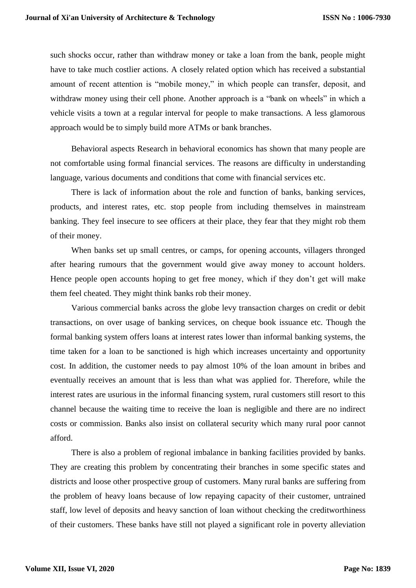such shocks occur, rather than withdraw money or take a loan from the bank, people might have to take much costlier actions. A closely related option which has received a substantial amount of recent attention is "mobile money," in which people can transfer, deposit, and withdraw money using their cell phone. Another approach is a "bank on wheels" in which a vehicle visits a town at a regular interval for people to make transactions. A less glamorous approach would be to simply build more ATMs or bank branches.

 Behavioral aspects Research in behavioral economics has shown that many people are not comfortable using formal financial services. The reasons are difficulty in understanding language, various documents and conditions that come with financial services etc.

 There is lack of information about the role and function of banks, banking services, products, and interest rates, etc. stop people from including themselves in mainstream banking. They feel insecure to see officers at their place, they fear that they might rob them of their money.

 When banks set up small centres, or camps, for opening accounts, villagers thronged after hearing rumours that the government would give away money to account holders. Hence people open accounts hoping to get free money, which if they don't get will make them feel cheated. They might think banks rob their money.

 Various commercial banks across the globe levy transaction charges on credit or debit transactions, on over usage of banking services, on cheque book issuance etc. Though the formal banking system offers loans at interest rates lower than informal banking systems, the time taken for a loan to be sanctioned is high which increases uncertainty and opportunity cost. In addition, the customer needs to pay almost 10% of the loan amount in bribes and eventually receives an amount that is less than what was applied for. Therefore, while the interest rates are usurious in the informal financing system, rural customers still resort to this channel because the waiting time to receive the loan is negligible and there are no indirect costs or commission. Banks also insist on collateral security which many rural poor cannot afford.

 There is also a problem of regional imbalance in banking facilities provided by banks. They are creating this problem by concentrating their branches in some specific states and districts and loose other prospective group of customers. Many rural banks are suffering from the problem of heavy loans because of low repaying capacity of their customer, untrained staff, low level of deposits and heavy sanction of loan without checking the creditworthiness of their customers. These banks have still not played a significant role in poverty alleviation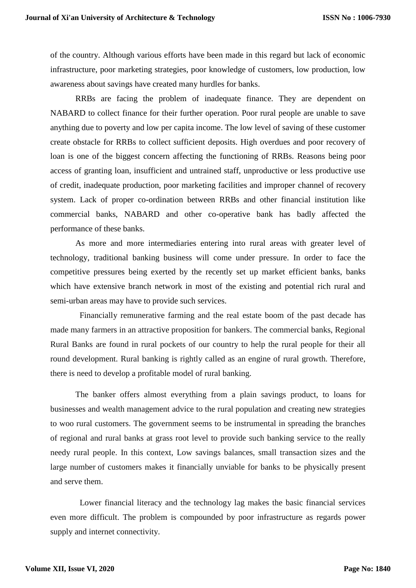of the country. Although various efforts have been made in this regard but lack of economic infrastructure, poor marketing strategies, poor knowledge of customers, low production, low awareness about savings have created many hurdles for banks.

 RRBs are facing the problem of inadequate finance. They are dependent on NABARD to collect finance for their further operation. Poor rural people are unable to save anything due to poverty and low per capita income. The low level of saving of these customer create obstacle for RRBs to collect sufficient deposits. High overdues and poor recovery of loan is one of the biggest concern affecting the functioning of RRBs. Reasons being poor access of granting loan, insufficient and untrained staff, unproductive or less productive use of credit, inadequate production, poor marketing facilities and improper channel of recovery system. Lack of proper co-ordination between RRBs and other financial institution like commercial banks, NABARD and other co-operative bank has badly affected the performance of these banks.

 As more and more intermediaries entering into rural areas with greater level of technology, traditional banking business will come under pressure. In order to face the competitive pressures being exerted by the recently set up market efficient banks, banks which have extensive branch network in most of the existing and potential rich rural and semi-urban areas may have to provide such services.

 Financially remunerative farming and the real estate boom of the past decade has made many farmers in an attractive proposition for bankers. The commercial banks, Regional Rural Banks are found in rural pockets of our country to help the rural people for their all round development. Rural banking is rightly called as an engine of rural growth. Therefore, there is need to develop a profitable model of rural banking.

 The banker offers almost everything from a plain savings product, to loans for businesses and wealth management advice to the rural population and creating new strategies to woo rural customers. The government seems to be instrumental in spreading the branches of regional and rural banks at grass root level to provide such banking service to the really needy rural people. In this context, Low savings balances, small transaction sizes and the large number of customers makes it financially unviable for banks to be physically present and serve them.

 Lower financial literacy and the technology lag makes the basic financial services even more difficult. The problem is compounded by poor infrastructure as regards power supply and internet connectivity.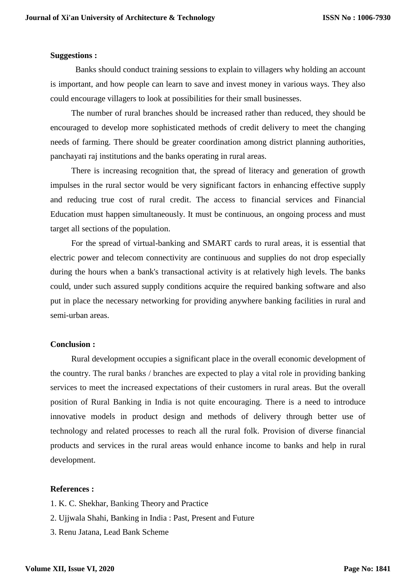#### **Suggestions :**

 Banks should conduct training sessions to explain to villagers why holding an account is important, and how people can learn to save and invest money in various ways. They also could encourage villagers to look at possibilities for their small businesses.

 The number of rural branches should be increased rather than reduced, they should be encouraged to develop more sophisticated methods of credit delivery to meet the changing needs of farming. There should be greater coordination among district planning authorities, panchayati raj institutions and the banks operating in rural areas.

 There is increasing recognition that, the spread of literacy and generation of growth impulses in the rural sector would be very significant factors in enhancing effective supply and reducing true cost of rural credit. The access to financial services and Financial Education must happen simultaneously. It must be continuous, an ongoing process and must target all sections of the population.

 For the spread of virtual-banking and SMART cards to rural areas, it is essential that electric power and telecom connectivity are continuous and supplies do not drop especially during the hours when a bank's transactional activity is at relatively high levels. The banks could, under such assured supply conditions acquire the required banking software and also put in place the necessary networking for providing anywhere banking facilities in rural and semi-urban areas.

#### **Conclusion :**

 Rural development occupies a significant place in the overall economic development of the country. The rural banks / branches are expected to play a vital role in providing banking services to meet the increased expectations of their customers in rural areas. But the overall position of Rural Banking in India is not quite encouraging. There is a need to introduce innovative models in product design and methods of delivery through better use of technology and related processes to reach all the rural folk. Provision of diverse financial products and services in the rural areas would enhance income to banks and help in rural development.

#### **References :**

- 1. K. C. Shekhar, Banking Theory and Practice
- 2. Ujjwala Shahi, Banking in India : Past, Present and Future
- 3. Renu Jatana, Lead Bank Scheme